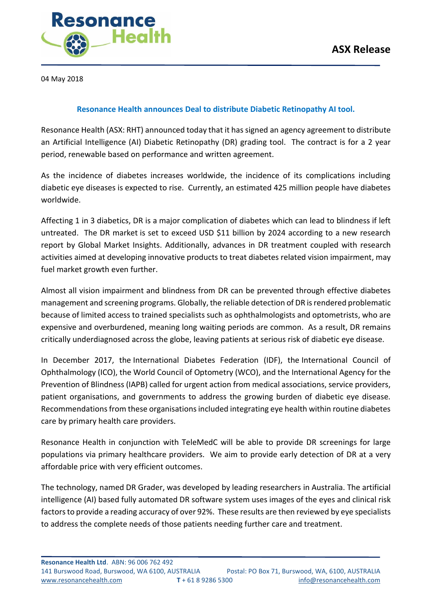

04 May 2018

## **Resonance Health announces Deal to distribute Diabetic Retinopathy AI tool.**

Resonance Health (ASX: RHT) announced today that it has signed an agency agreement to distribute an Artificial Intelligence (AI) Diabetic Retinopathy (DR) grading tool. The contract is for a 2 year period, renewable based on performance and written agreement.

As the incidence of diabetes increases worldwide, the incidence of its complications including diabetic eye diseases is expected to rise. Currently, an estimated 425 million people have diabetes worldwide.

Affecting 1 in 3 diabetics, DR is a major complication of diabetes which can lead to blindness if left untreated. The DR market is set to exceed USD \$11 billion by 2024 according to a new research report by Global Market Insights. Additionally, advances in DR treatment coupled with research activities aimed at developing innovative products to treat diabetes related vision impairment, may fuel market growth even further.

Almost all vision impairment and blindness from DR can be prevented through effective diabetes management and screening programs. Globally, the reliable detection of DR is rendered problematic because of limited access to trained specialists such as ophthalmologists and optometrists, who are expensive and overburdened, meaning long waiting periods are common. As a result, DR remains critically underdiagnosed across the globe, leaving patients at serious risk of diabetic eye disease.

In December 2017, the International Diabetes Federation (IDF), the International Council of Ophthalmology (ICO), the World Council of Optometry (WCO), and the International Agency for the Prevention of Blindness (IAPB) called for urgent action from medical associations, service providers, patient organisations, and governments to address the growing burden of diabetic eye disease. Recommendations from these organisations included integrating eye health within routine diabetes care by primary health care providers.

Resonance Health in conjunction with TeleMedC will be able to provide DR screenings for large populations via primary healthcare providers. We aim to provide early detection of DR at a very affordable price with very efficient outcomes.

The technology, named DR Grader, was developed by leading researchers in Australia. The artificial intelligence (AI) based fully automated DR software system uses images of the eyes and clinical risk factors to provide a reading accuracy of over 92%. These results are then reviewed by eye specialists to address the complete needs of those patients needing further care and treatment.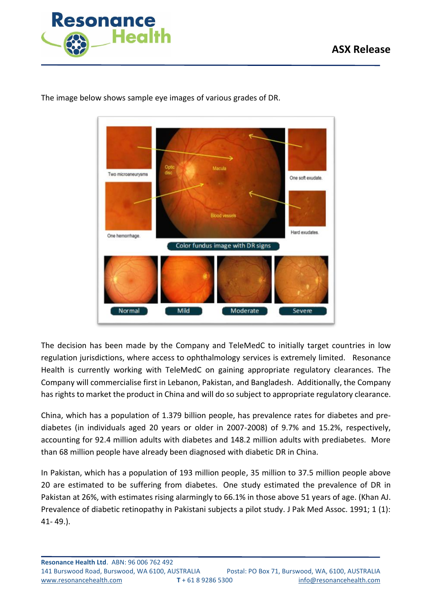



The image below shows sample eye images of various grades of DR.

The decision has been made by the Company and TeleMedC to initially target countries in low regulation jurisdictions, where access to ophthalmology services is extremely limited. Resonance Health is currently working with TeleMedC on gaining appropriate regulatory clearances. The Company will commercialise first in Lebanon, Pakistan, and Bangladesh. Additionally, the Company has rights to market the product in China and will do so subject to appropriate regulatory clearance.

China, which has a population of 1.379 billion people, has prevalence rates for diabetes and prediabetes (in individuals aged 20 years or older in 2007-2008) of 9.7% and 15.2%, respectively, accounting for 92.4 million adults with diabetes and 148.2 million adults with prediabetes. More than 68 million people have already been diagnosed with diabetic DR in China.

In Pakistan, which has a population of 193 million people, 35 million to 37.5 million people above 20 are estimated to be suffering from diabetes. One study estimated the prevalence of DR in Pakistan at 26%, with estimates rising alarmingly to 66.1% in those above 51 years of age. (Khan AJ. Prevalence of diabetic retinopathy in Pakistani subjects a pilot study. J Pak Med Assoc. 1991; 1 (1): 41- 49.).